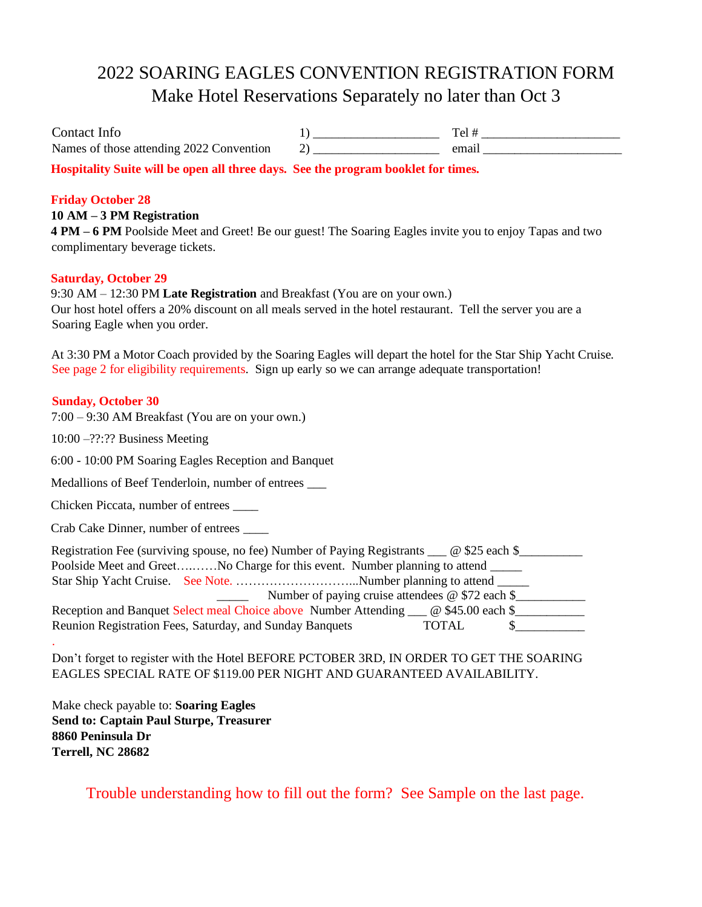## 2022 SOARING EAGLES CONVENTION REGISTRATION FORM Make Hotel Reservations Separately no later than Oct 3

| Contact Info                             |      |
|------------------------------------------|------|
| Names of those attending 2022 Convention | emai |
|                                          |      |

**Hospitality Suite will be open all three days. See the program booklet for times.**

### **Friday October 28**

### **10 AM – 3 PM Registration**

**4 PM – 6 PM** Poolside Meet and Greet! Be our guest! The Soaring Eagles invite you to enjoy Tapas and two complimentary beverage tickets.

### **Saturday, October 29**

9:30 AM – 12:30 PM **Late Registration** and Breakfast (You are on your own.) Our host hotel offers a 20% discount on all meals served in the hotel restaurant. Tell the server you are a Soaring Eagle when you order.

At 3:30 PM a Motor Coach provided by the Soaring Eagles will depart the hotel for the Star Ship Yacht Cruise. See page 2 for eligibility requirements. Sign up early so we can arrange adequate transportation!

#### **Sunday, October 30**

.

7:00 – 9:30 AM Breakfast (You are on your own.)

10:00 –??:?? Business Meeting

6:00 - 10:00 PM Soaring Eagles Reception and Banquet

Medallions of Beef Tenderloin, number of entrees \_\_\_

Chicken Piccata, number of entrees \_\_\_\_

Crab Cake Dinner, number of entrees \_\_\_\_

| Registration Fee (surviving spouse, no fee) Number of Paying Registrants ___ @ \$25 each \$_________ |  |  |  |  |
|------------------------------------------------------------------------------------------------------|--|--|--|--|
| Poolside Meet and GreetNo Charge for this event. Number planning to attend                           |  |  |  |  |
|                                                                                                      |  |  |  |  |
| Number of paying cruise attendees @ \$72 each \$                                                     |  |  |  |  |
| Reception and Banquet Select meal Choice above Number Attending _____ @ \$45.00 each \$              |  |  |  |  |
| Reunion Registration Fees, Saturday, and Sunday Banquets<br><b>TOTAL</b>                             |  |  |  |  |

Don't forget to register with the Hotel BEFORE PCTOBER 3RD, IN ORDER TO GET THE SOARING EAGLES SPECIAL RATE OF \$119.00 PER NIGHT AND GUARANTEED AVAILABILITY.

Make check payable to: **Soaring Eagles Send to: Captain Paul Sturpe, Treasurer 8860 Peninsula Dr Terrell, NC 28682**

Trouble understanding how to fill out the form? See Sample on the last page.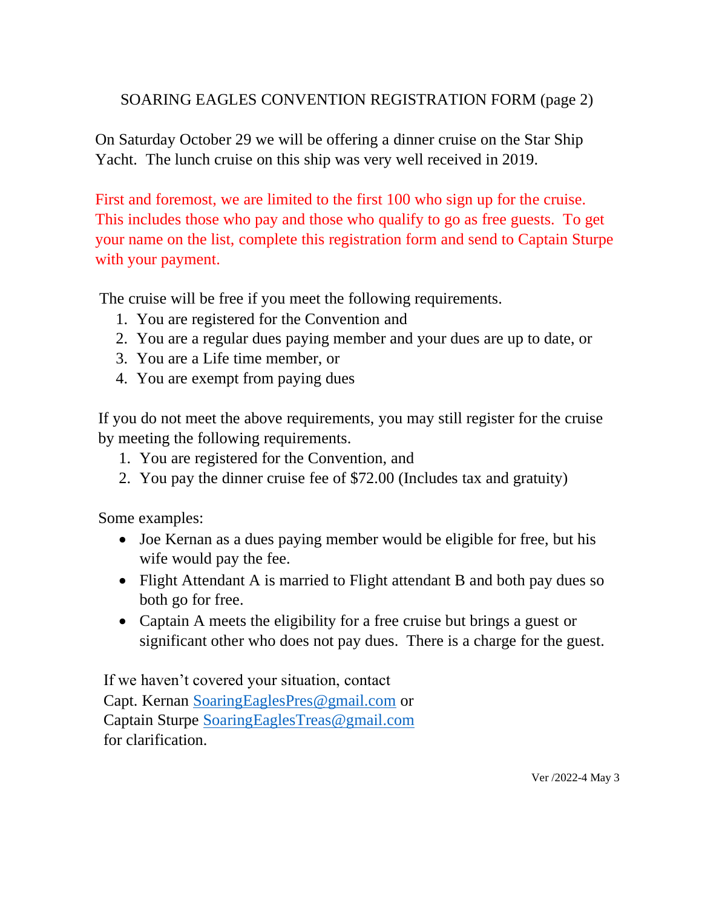### SOARING EAGLES CONVENTION REGISTRATION FORM (page 2)

On Saturday October 29 we will be offering a dinner cruise on the Star Ship Yacht. The lunch cruise on this ship was very well received in 2019.

First and foremost, we are limited to the first 100 who sign up for the cruise. This includes those who pay and those who qualify to go as free guests. To get your name on the list, complete this registration form and send to Captain Sturpe with your payment.

The cruise will be free if you meet the following requirements.

- 1. You are registered for the Convention and
- 2. You are a regular dues paying member and your dues are up to date, or
- 3. You are a Life time member, or
- 4. You are exempt from paying dues

If you do not meet the above requirements, you may still register for the cruise by meeting the following requirements.

- 1. You are registered for the Convention, and
- 2. You pay the dinner cruise fee of \$72.00 (Includes tax and gratuity)

Some examples:

- Joe Kernan as a dues paying member would be eligible for free, but his wife would pay the fee.
- Flight Attendant A is married to Flight attendant B and both pay dues so both go for free.
- Captain A meets the eligibility for a free cruise but brings a guest or significant other who does not pay dues. There is a charge for the guest.

If we haven't covered your situation, contact Capt. Kernan [SoaringEaglesPres@gmail.com](mailto:SoaringEaglesPres@gmail.com) or Captain Sturpe [SoaringEaglesTreas@gmail.com](mailto:SoaringEaglesTreas@gmail.com) for clarification.